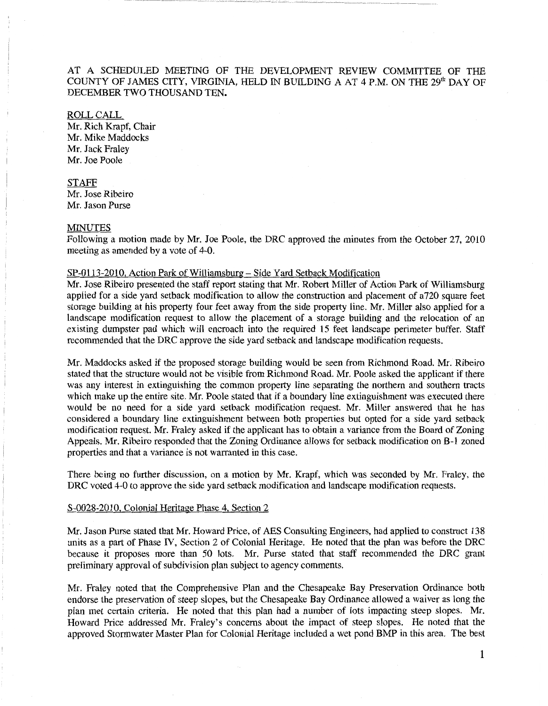AT A SCHEDULED MEETING OF THE DEVELOPMENT REVIEW COMMITTEE OF THE COUNTY OF JAMES CITY, VIRGINIA, HELD IN BUILDING A AT 4 P.M. ON THE 29th DAY OF DECEMBER TWO THOUSAND TEN.

## ROLL CALL

Mr. Rich Krapf, Chair Mr. Mike Maddocks Mr. Jack Fraley Mr. Joe Poole

STAFF Mr. Jose Ribeiro Mr. Jason Purse

## MINUTES

Following a motion made by Mr. Joe Poole, the DRC approved the minutes from the October 27, 2010 meeting as amended by a vote of 4-0.

## SP-0113-2010, Action Park of Williamsburg - Side Yard Setback Modification

Mr. Jose Ribeiro presented the staff report stating that Mr. Robert Miller of Action Park of Williamsburg applied for a side yard setback modification to allow the construction and placement of a720 square feet storage building at his property four feet away from the side property line. Mr. Miller also applied for a landscape modification request to allow the placement of a storage building and the relocation of an existing dumpster pad which will encroach into the required 15 feet landscape perimeter buffer. Staff recommended that the DRC approve the side yard setback and landscape modification requests.

Mr. Maddocks asked if the proposed storage building would be seen from Richmond Road. Mr. Ribeiro stated that the structure would not be visible from Richmond Road. Mr. Poole asked the applicant if there was any interest in extinguishing the common property line separating the northern and southern tracts which make up the entire site. Mr. Poole stated that if a boundary line extinguishment was executed there would be no need for a side yard setback modification request. Mr. Miller answered that he has considered a boundary line extinguishment between both properties but opted for a side yard setback modification request. Mr. Fraley asked if the applicant has to obtain a variance from the Board of Zoning Appeals. Mr. Ribeiro responded that the Zoning Ordinance allows for setback modification on B-1 zoned properties and that a variance is not warranted in this case.

There being no further discussion, on a motion by Mr. Krapf, which was seconded by Mr. Fraley, the DRC voted 4-0 to approve the side yard setback modification and landscape modification requests.

## S-0028-2010, Colonial Heritage Phase 4, Section 2

Mr. Jason Purse stated that Mr. Howard Price, of AES Consulting Engineers, had applied to construct 138 units as a part of Phase IV, Section 2 of Colonial Heritage. He noted that the plan was before the DRC because it proposes more than 50 lots. Mr. Purse stated that staff recommended the DRC grant preliminary approval of subdivision plan subject to agency comments.

Mr. Fraley noted that the Comprehensive Plan and the Chesapeake Bay Preservation Ordinance both endorse the preservation of steep slopes, but the Chesapeake Bay Ordinance allowed a waiver as long the plan met certain criteria. He noted that this plan had a number of lots impacting steep slopes. Mr. Howard Price addressed Mr. Fraley's concerns about the impact of steep slopes. He noted that the approved Stormwater Master Plan for Colonial Heritage included a wet pond BMP in this area. The best